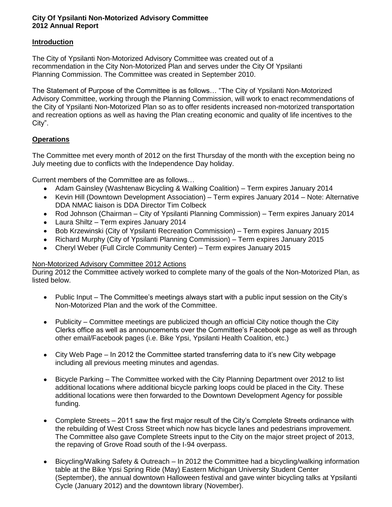## **City Of Ypsilanti Non-Motorized Advisory Committee 2012 Annual Report**

## **Introduction**

The City of Ypsilanti Non-Motorized Advisory Committee was created out of a recommendation in the City Non-Motorized Plan and serves under the City Of Ypsilanti Planning Commission. The Committee was created in September 2010.

The Statement of Purpose of the Committee is as follows… "The City of Ypsilanti Non-Motorized Advisory Committee, working through the Planning Commission, will work to enact recommendations of the City of Ypsilanti Non-Motorized Plan so as to offer residents increased non-motorized transportation and recreation options as well as having the Plan creating economic and quality of life incentives to the City".

## **Operations**

The Committee met every month of 2012 on the first Thursday of the month with the exception being no July meeting due to conflicts with the Independence Day holiday.

Current members of the Committee are as follows…

- Adam Gainsley (Washtenaw Bicycling & Walking Coalition) Term expires January 2014
- Kevin Hill (Downtown Development Association) Term expires January 2014 Note: Alternative  $\bullet$ DDA NMAC liaison is DDA Director Tim Colbeck
- Rod Johnson (Chairman City of Ypsilanti Planning Commission) Term expires January 2014  $\bullet$
- Laura Shiltz Term expires January 2014
- Bob Krzewinski (City of Ypsilanti Recreation Commission) Term expires January 2015
- Richard Murphy (City of Ypsilanti Planning Commission) Term expires January 2015
- Cheryl Weber (Full Circle Community Center) Term expires January 2015  $\bullet$

## Non-Motorized Advisory Committee 2012 Actions

During 2012 the Committee actively worked to complete many of the goals of the Non-Motorized Plan, as listed below.

- Public Input The Committee's meetings always start with a public input session on the City's  $\bullet$ Non-Motorized Plan and the work of the Committee.
- Publicity Committee meetings are publicized though an official City notice though the City  $\bullet$ Clerks office as well as announcements over the Committee's Facebook page as well as through other email/Facebook pages (i.e. Bike Ypsi, Ypsilanti Health Coalition, etc.)
- City Web Page In 2012 the Committee started transferring data to it's new City webpage including all previous meeting minutes and agendas.
- Bicycle Parking The Committee worked with the City Planning Department over 2012 to list  $\bullet$ additional locations where additional bicycle parking loops could be placed in the City. These additional locations were then forwarded to the Downtown Development Agency for possible funding.
- Complete Streets 2011 saw the first major result of the City's Complete Streets ordinance with  $\bullet$ the rebuilding of West Cross Street which now has bicycle lanes and pedestrians improvement. The Committee also gave Complete Streets input to the City on the major street project of 2013, the repaving of Grove Road south of the I-94 overpass.
- Bicycling/Walking Safety & Outreach In 2012 the Committee had a bicycling/walking information  $\bullet$ table at the Bike Ypsi Spring Ride (May) Eastern Michigan University Student Center (September), the annual downtown Halloween festival and gave winter bicycling talks at Ypsilanti Cycle (January 2012) and the downtown library (November).